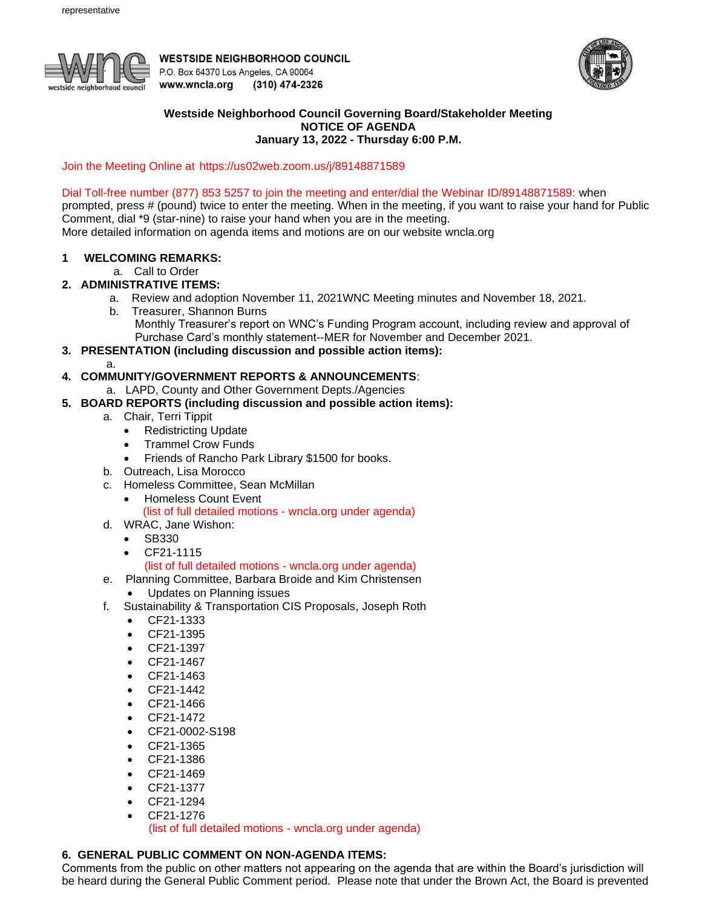

**WESTSIDE NEIGHBORHOOD COUNCIL** P.O. Box 64370 Los Angeles, CA 90064 www.wncla.org (310) 474-2326



### **Westside Neighborhood Council Governing Board/Stakeholder Meeting NOTICE OF AGENDA January 13, 2022 - Thursday 6:00 P.M.**

Join the Meeting Online at [https://us02web.zoom.us/j/89148871589](https://wncla.us16.list-manage.com/track/click?u=bef5884ae053754f661fd5956&id=c5552d0b06&e=d078741206)

### Dial Toll-free number (877) 853 5257 to join the meeting and enter/dial the Webinar ID/89148871589: when

prompted, press # (pound) twice to enter the meeting. When in the meeting, if you want to raise your hand for Public Comment, dial \*9 (star-nine) to raise your hand when you are in the meeting.

More detailed information on agenda items and motions are on our website wncla.org

# **1 WELCOMING REMARKS:**

a. Call to Order

# **2. ADMINISTRATIVE ITEMS:**

- a. Review and adoption November 11, 2021WNC Meeting minutes and November 18, 2021.
	- b. Treasurer, Shannon Burns
		- Monthly Treasurer's report on WNC's Funding Program account, including review and approval of Purchase Card's monthly statement--MER for November and December 2021.
- **3. PRESENTATION (including discussion and possible action items):**

a.

# **4. COMMUNITY/GOVERNMENT REPORTS & ANNOUNCEMENTS**:

- a. LAPD, County and Other Government Depts./Agencies
- **5. BOARD REPORTS (including discussion and possible action items):** 
	- a. Chair, Terri Tippit
		- Redistricting Update
		- Trammel Crow Funds
		- Friends of Rancho Park Library \$1500 for books.
	- b. Outreach, Lisa Morocco
	- c. Homeless Committee, Sean McMillan
		- Homeless Count Event
			- (list of full detailed motions wncla.org under agenda)
	- d. WRAC, Jane Wishon:
		- SB330
		- CF21-1115

(list of full detailed motions - wncla.org under agenda)

- e. Planning Committee, Barbara Broide and Kim Christensen
	- Updates on Planning issues
- f. Sustainability & Transportation CIS Proposals, Joseph Roth
	- CF21-1333
	- CF21-1395
	- CF21-1397
	- CF21-1467
	- CF21-1463
	- CF21-1442
	- CF21-1466
	- CF21-1472
	- CF21-0002-S198
	- CF21-1365
	- CF21-1386
	- CF21-1469
	- CF21-1377
	- CF21-1294
	- CF21-1276

(list of full detailed motions - wncla.org under agenda)

# **6. GENERAL PUBLIC COMMENT ON NON-AGENDA ITEMS:**

Comments from the public on other matters not appearing on the agenda that are within the Board's jurisdiction will be heard during the General Public Comment period. Please note that under the Brown Act, the Board is prevented